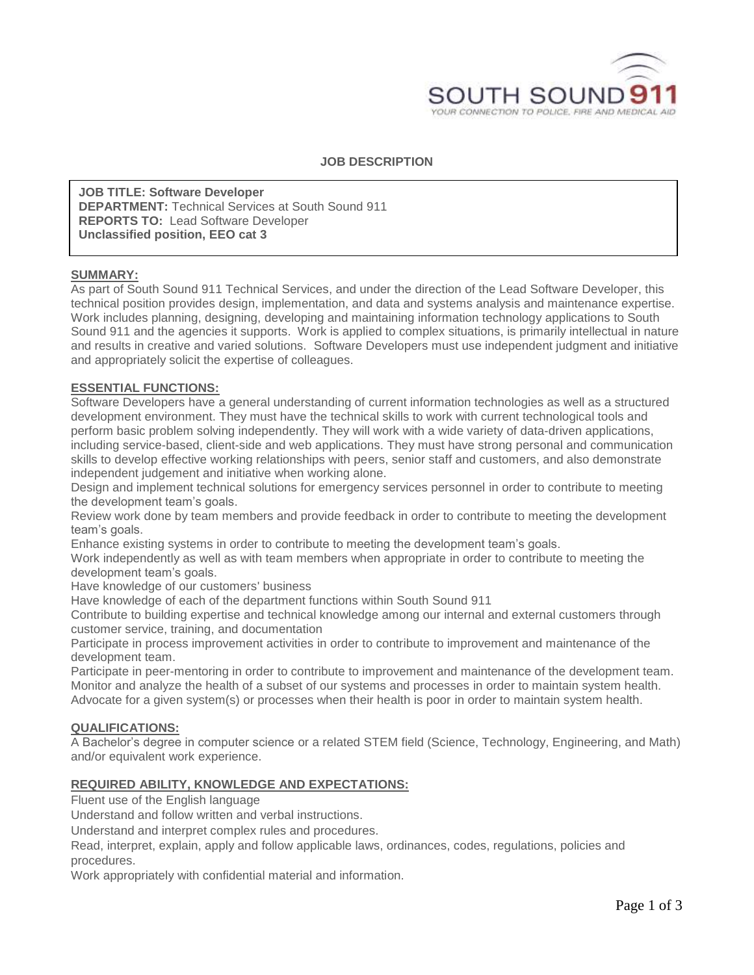

## **JOB DESCRIPTION**

**JOB TITLE: Software Developer DEPARTMENT:** Technical Services at South Sound 911 **REPORTS TO:** Lead Software Developer **Unclassified position, EEO cat 3**

## **SUMMARY:**

As part of South Sound 911 Technical Services, and under the direction of the Lead Software Developer, this technical position provides design, implementation, and data and systems analysis and maintenance expertise. Work includes planning, designing, developing and maintaining information technology applications to South Sound 911 and the agencies it supports. Work is applied to complex situations, is primarily intellectual in nature and results in creative and varied solutions. Software Developers must use independent judgment and initiative and appropriately solicit the expertise of colleagues.

#### **ESSENTIAL FUNCTIONS:**

Software Developers have a general understanding of current information technologies as well as a structured development environment. They must have the technical skills to work with current technological tools and perform basic problem solving independently. They will work with a wide variety of data-driven applications, including service-based, client-side and web applications. They must have strong personal and communication skills to develop effective working relationships with peers, senior staff and customers, and also demonstrate independent judgement and initiative when working alone.

Design and implement technical solutions for emergency services personnel in order to contribute to meeting the development team's goals.

Review work done by team members and provide feedback in order to contribute to meeting the development team's goals.

Enhance existing systems in order to contribute to meeting the development team's goals.

Work independently as well as with team members when appropriate in order to contribute to meeting the development team's goals.

Have knowledge of our customers' business

Have knowledge of each of the department functions within South Sound 911

Contribute to building expertise and technical knowledge among our internal and external customers through customer service, training, and documentation

Participate in process improvement activities in order to contribute to improvement and maintenance of the development team.

Participate in peer-mentoring in order to contribute to improvement and maintenance of the development team. Monitor and analyze the health of a subset of our systems and processes in order to maintain system health. Advocate for a given system(s) or processes when their health is poor in order to maintain system health.

#### **QUALIFICATIONS:**

A Bachelor's degree in computer science or a related STEM field (Science, Technology, Engineering, and Math) and/or equivalent work experience.

#### **REQUIRED ABILITY, KNOWLEDGE AND EXPECTATIONS:**

Fluent use of the English language

Understand and follow written and verbal instructions.

Understand and interpret complex rules and procedures.

Read, interpret, explain, apply and follow applicable laws, ordinances, codes, regulations, policies and procedures.

Work appropriately with confidential material and information.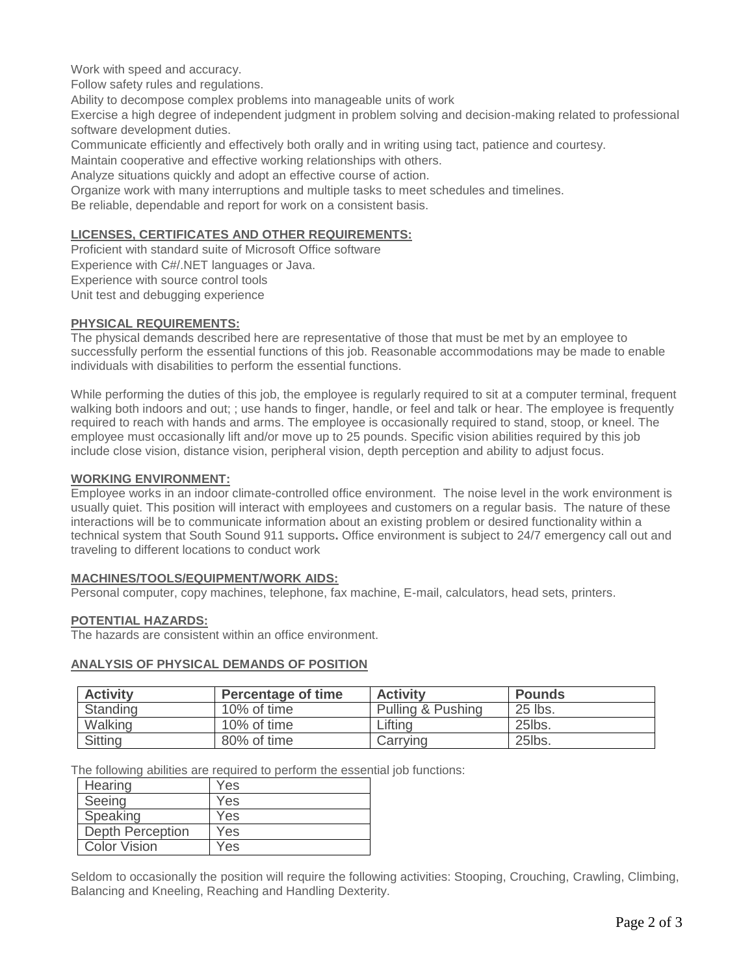Work with speed and accuracy.

Follow safety rules and regulations.

Ability to decompose complex problems into manageable units of work

Exercise a high degree of independent judgment in problem solving and decision-making related to professional software development duties.

Communicate efficiently and effectively both orally and in writing using tact, patience and courtesy.

Maintain cooperative and effective working relationships with others.

Analyze situations quickly and adopt an effective course of action.

Organize work with many interruptions and multiple tasks to meet schedules and timelines.

Be reliable, dependable and report for work on a consistent basis.

## **LICENSES, CERTIFICATES AND OTHER REQUIREMENTS:**

Proficient with standard suite of Microsoft Office software Experience with C#/.NET languages or Java. Experience with source control tools Unit test and debugging experience

### **PHYSICAL REQUIREMENTS:**

The physical demands described here are representative of those that must be met by an employee to successfully perform the essential functions of this job. Reasonable accommodations may be made to enable individuals with disabilities to perform the essential functions.

While performing the duties of this job, the employee is regularly required to sit at a computer terminal, frequent walking both indoors and out; ; use hands to finger, handle, or feel and talk or hear. The employee is frequently required to reach with hands and arms. The employee is occasionally required to stand, stoop, or kneel. The employee must occasionally lift and/or move up to 25 pounds. Specific vision abilities required by this job include close vision, distance vision, peripheral vision, depth perception and ability to adjust focus.

### **WORKING ENVIRONMENT:**

Employee works in an indoor climate-controlled office environment. The noise level in the work environment is usually quiet. This position will interact with employees and customers on a regular basis. The nature of these interactions will be to communicate information about an existing problem or desired functionality within a technical system that South Sound 911 supports**.** Office environment is subject to 24/7 emergency call out and traveling to different locations to conduct work

### **MACHINES/TOOLS/EQUIPMENT/WORK AIDS:**

Personal computer, copy machines, telephone, fax machine, E-mail, calculators, head sets, printers.

### **POTENTIAL HAZARDS:**

The hazards are consistent within an office environment.

### **ANALYSIS OF PHYSICAL DEMANDS OF POSITION**

| <b>Activity</b> | <b>Percentage of time</b> | <b>Activity</b>   | Pounds  |
|-----------------|---------------------------|-------------------|---------|
| Standing        | 10% of time               | Pulling & Pushing | 25 lbs. |
| Walking         | 10% of time               | Lifting           | 25lbs.  |
| Sitting         | 80% of time               | Carrving          | 25lbs.  |

The following abilities are required to perform the essential job functions:

| Hearing                 | Yes |
|-------------------------|-----|
| Seeing                  | Yes |
| Speaking                | Yes |
| <b>Depth Perception</b> | Yes |
| <b>Color Vision</b>     | Yes |

Seldom to occasionally the position will require the following activities: Stooping, Crouching, Crawling, Climbing, Balancing and Kneeling, Reaching and Handling Dexterity.